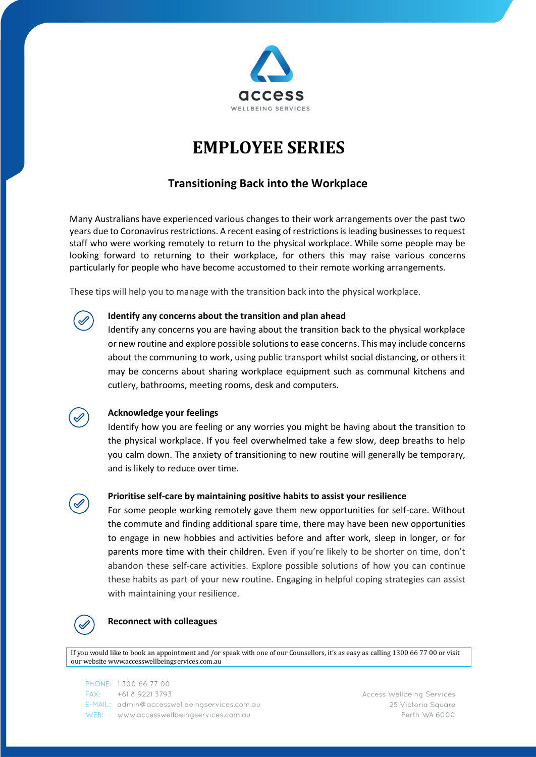

# **EMPLOYEE SERIES**

# **Transitioning Back into the Workplace**

Many Australians have experienced various changes to their work arrangements over the past two years due to Coronavirus restrictions. A recent easing of restrictions is leading businesses to request staff who were working remotely to return to the physical workplace. While some people may be looking forward to returning to their workplace, for others this may raise various concerns particularly for people who have become accustomed to their remote working arrangements.

These tips will help you to manage with the transition back into the physical workplace.



## **Identify any concerns about the transition and plan ahead**

Identify any concerns you are having about the transition back to the physical workplace or new routine and explore possible solutions to ease concerns. This may include concerns about the communing to work, using public transport whilst social distancing, or others it may be concerns about sharing workplace equipment such as communal kitchens and cutlery, bathrooms, meeting rooms, desk and computers.

# **Acknowledge your feelings**

Identify how you are feeling or any worries you might be having about the transition to the physical workplace. If you feel overwhelmed take a few slow, deep breaths to help you calm down. The anxiety of transitioning to new routine will generally be temporary, and is likely to reduce over time.



#### **Prioritise self-care by maintaining positive habits to assist your resilience**

For some people working remotely gave them new opportunities for self-care. Without the commute and finding additional spare time, there may have been new opportunities to engage in new hobbies and activities before and after work, sleep in longer, or for parents more time with their children. Even if you're likely to be shorter on time, don't abandon these self-care activities. Explore possible solutions of how you can continue these habits as part of your new routine. Engaging in helpful coping strategies can assist with maintaining your resilience.



#### **Reconnect with colleagues**

If you would like to book an appointment and / or speak with one of our Counsellors, it's as easy as calling 1300 66 77 00 or visit our webs[ite www.accesswellbeingservices.com.au](http://www.accesswellbeingservices.com.au/)

| PHONE: 1300 66 77 00                         |
|----------------------------------------------|
| $FAX: +61892213793$                          |
| E-MAIL: admin@accesswellbeingservices.com.au |
| WEB: www.accesswellbeingservices.com.au      |

**Access Wellbeing Services** 25 Victoria Square Perth WA 6000